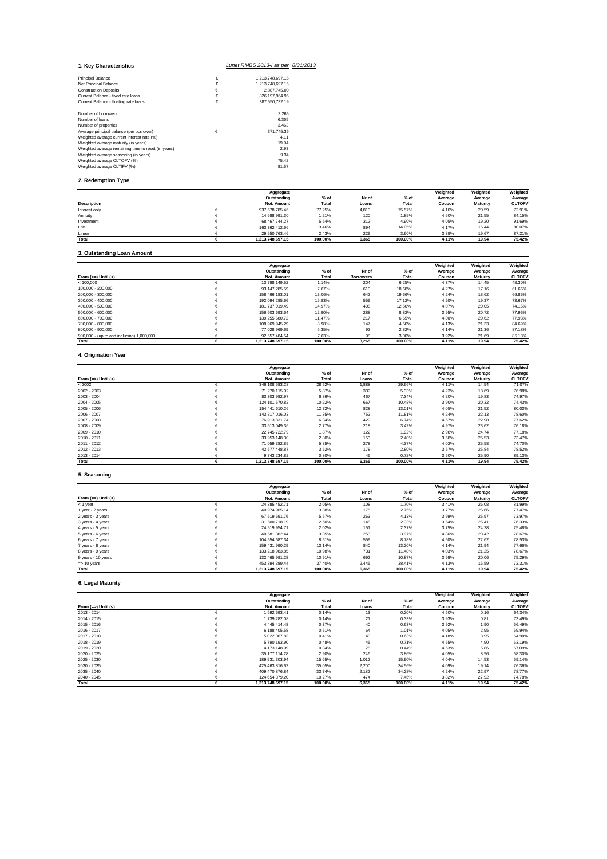| 1. Kev Characteristics                              |   | Lunet RMBS 2013-I as per 8/31/2013 |  |
|-----------------------------------------------------|---|------------------------------------|--|
|                                                     | € |                                    |  |
| <b>Principal Balance</b>                            |   | 1.213.748.697.15                   |  |
| Net Principal Balance                               | € | 1,213,748,697.15                   |  |
| <b>Construction Deposits</b>                        | € | 2.887.745.00                       |  |
| Current Balance - fixed rate loans                  | € | 826.197.964.96                     |  |
| Current Balance - floating rate loans               | € | 387.550.732.19                     |  |
| Number of borrowers                                 |   | 3.265                              |  |
| Number of loans                                     |   | 6.365                              |  |
| Number of properties                                |   | 3.463                              |  |
| Average principal balance (per borrower)            | € | 371.745.39                         |  |
| Weighted average current interest rate (%)          |   | 4.11                               |  |
| Weighted average maturity (in years)                |   | 19.94                              |  |
| Weighted average remaining time to reset (in years) |   | 2.93                               |  |
| Weighted average seasoning (in years)               |   | 9.34                               |  |
| Weighted average CLTOFV (%)                         |   | 75.42                              |  |
| Weighted average CLTIFV (%)                         |   | 81.57                              |  |
|                                                     |   |                                    |  |

## **2. Redemption Type**

|                    | Aggregate        |         |       |         | Weighted | Weighted        | Weighted      |
|--------------------|------------------|---------|-------|---------|----------|-----------------|---------------|
|                    | Outstanding      | % of    | Nr of | $%$ of  | Average  | Average         | Average       |
| <b>Description</b> | Not. Amount      | Total   | Loans | Total   | Coupon   | <b>Maturity</b> | <b>CLTOFV</b> |
| Interest only      | 937.678.785.46   | 77.25%  | 4.810 | 75.57%  | 4.10%    | 20.59           | 72.91%        |
| Annuity            | 14.688.991.30    | 1.21%   | 120   | 1.89%   | 4.60%    | 21.55           | 84.15%        |
| Investment         | 68.467.744.27    | 5.64%   | 312   | 4.90%   | 4.05%    | 19.20           | 91.69%        |
| Life               | 163.362.412.66   | 13.46%  | 894   | 14.05%  | 4.17%    | 16.44           | 80.07%        |
| Linear             | 29.550.763.46    | 2.43%   | 229   | 3.60%   | 3.89%    | 19.67           | 87.21%        |
| Total              | 1.213.748.697.15 | 100.00% | 6.365 | 100.00% | 4.11%    | 19.94           | 75.42%        |

## **3. Outstanding Loan Amount**

|                                           | Aggregate        |         |           |         | Weighted | Weighted | Weighted      |
|-------------------------------------------|------------------|---------|-----------|---------|----------|----------|---------------|
|                                           | Outstanding      | $%$ of  | Nr of     | $%$ of  | Average  | Average  | Average       |
| From $(>=)$ Until $(<)$                   | Not. Amount      | Total   | Borrowers | Total   | Coupon   | Maturity | <b>CLTOFV</b> |
| < 100.000                                 | 13.788.149.52    | 1.14%   | 204       | 6.25%   | 4.37%    | 14.45    | 48.30%        |
| 100.000 - 200.000                         | 93.147.285.59    | 7.67%   | 610       | 18.68%  | 4.27%    | 17.16    | 61.66%        |
| 200.000 - 300.000                         | 158.466.183.01   | 13.06%  | 642       | 19.66%  | 4.24%    | 18.62    | 66.86%        |
| 300.000 - 400.000                         | 192.094.285.66   | 15.83%  | 559       | 17.12%  | 4.20%    | 19.37    | 73.67%        |
| 400.000 - 500.000                         | 181.737.019.49   | 14.97%  | 408       | 12.50%  | 4.07%    | 20.05    | 74.15%        |
| 500.000 - 600.000                         | 156.603.693.64   | 12.90%  | 288       | 8.82%   | 3.95%    | 20.72    | 77.96%        |
| 600.000 - 700.000                         | 139.255.680.72   | 11.47%  | 217       | 6.65%   | 4.00%    | 20.62    | 77.98%        |
| 700.000 - 800.000                         | 108.969.945.29   | 8.98%   | 147       | 4.50%   | 4.13%    | 21.33    | 84.69%        |
| 800.000 - 900.000                         | 77.028.969.69    | 6.35%   | 92        | 2.82%   | 4.14%    | 21.36    | 87.18%        |
| 900,000 - (up to and including) 1,000,000 | 92.657.484.54    | 7.63%   | 98        | 3.00%   | 3.92%    | 21.69    | 85.18%        |
| Total                                     | 1.213.748.697.15 | 100.00% | 3.265     | 100.00% | 4.11%    | 19.94    | 75.42%        |

## **4. Origination Year**

|                       |   | Aggregate        |         |       |         | Weighted | Weighted        | Weighted      |
|-----------------------|---|------------------|---------|-------|---------|----------|-----------------|---------------|
|                       |   | Outstanding      | $%$ of  | Nr of | $%$ of  | Average  | Average         | Average       |
| From $(=>)$ Until $($ |   | Not. Amount      | Total   | Loans | Total   | Coupon   | <b>Maturity</b> | <b>CLTOFV</b> |
| < 2002                | € | 346.108.583.28   | 28.52%  | 1,888 | 29.66%  | 4.11%    | 14.54           | 71.07%        |
| $2002 - 2003$         | € | 71.270.115.02    | 5.87%   | 339   | 5.33%   | 4.23%    | 18.69           | 76.98%        |
| $2003 - 2004$         |   | 83.303.982.97    | 6.86%   | 467   | 7.34%   | 4.20%    | 19.83           | 74.97%        |
| $2004 - 2005$         | € | 124.101.570.82   | 10.22%  | 667   | 10.48%  | 3.90%    | 20.32           | 74.43%        |
| $2005 - 2006$         |   | 154.441.610.26   | 12.72%  | 828   | 13.01%  | 4.05%    | 21.52           | 80.03%        |
| $2006 - 2007$         |   | 143.817.016.03   | 11.85%  | 752   | 11.81%  | 4.24%    | 22.13           | 78.60%        |
| $2007 - 2008$         | € | 76.913.831.74    | 6.34%   | 429   | 6.74%   | 4.67%    | 22.98           | 77.62%        |
| $2008 - 2009$         |   | 33.613.049.36    | 2.77%   | 218   | 3.42%   | 4.97%    | 23.62           | 76.18%        |
| $2009 - 2010$         |   | 22.745.722.79    | 1.87%   | 122   | 1.92%   | 2.98%    | 24.74           | 77.18%        |
| $2010 - 2011$         |   | 33.953.148.30    | 2.80%   | 153   | 2.40%   | 3.68%    | 25.53           | 73.47%        |
| $2011 - 2012$         | € | 71.059.382.89    | 5.85%   | 278   | 4.37%   | 4.02%    | 25.58           | 74.70%        |
| $2012 - 2013$         | € | 42.677.448.87    | 3.52%   | 178   | 2.80%   | 3.57%    | 25.84           | 78.52%        |
| $2013 - 2014$         |   | 9.743.234.82     | 0.80%   | 46    | 0.72%   | 3.50%    | 25.90           | 89.13%        |
| Total                 |   | 1.213.748.697.15 | 100.00% | 6.365 | 100.00% | 4.11%    | 19.94           | 75.42%        |

## **5. Seasoning**

|                        |   | Aggregate        |         |       |         | Weighted | Weighted        | Weighted      |
|------------------------|---|------------------|---------|-------|---------|----------|-----------------|---------------|
|                        |   | Outstanding      | $%$ of  | Nr of | % of    | Average  | Average         | Average       |
| From $(=)$ Until $(<)$ |   | Not. Amount      | Total   | Loans | Total   | Coupon   | <b>Maturity</b> | <b>CLTOFV</b> |
| $<$ 1 year             |   | 24.885.452.71    | 2.05%   | 108   | 1.70%   | 3.41%    | 26.08           | 81.99%        |
| 1 year - 2 years       |   | 40.974.965.14    | 3.38%   | 175   | 2.75%   | 3.77%    | 25.66           | 77.47%        |
| 2 years - 3 years      |   | 67.619.691.76    | 5.57%   | 263   | 4.13%   | 3.99%    | 25.57           | 73.97%        |
| 3 years - 4 years      | € | 31.500.718.19    | 2.60%   | 148   | 2.33%   | 3.64%    | 25.41           | 76.33%        |
| 4 years - 5 years      |   | 24.519.954.71    | 2.02%   | 151   | 2.37%   | 3.75%    | 24.28           | 75.48%        |
| 5 years - 6 years      | € | 40.681.882.44    | 3.35%   | 253   | 3.97%   | 4.86%    | 23.42           | 78.67%        |
| 6 years - 7 years      |   | 104.554.687.34   | 8.61%   | 559   | 8.78%   | 4.50%    | 22.62           | 78.53%        |
| 7 years - 8 years      |   | 159.431.990.29   | 13.14%  | 840   | 13.20%  | 4.14%    | 21.94           | 77.66%        |
| 8 years - 9 years      |   | 133.218.983.85   | 10.98%  | 731   | 11.48%  | 4.03%    | 21.25           | 78.67%        |
| 9 years - 10 years     |   | 132.465.981.28   | 10.91%  | 692   | 10.87%  | 3.98%    | 20.06           | 75.29%        |
| $\Rightarrow$ 10 years |   | 453.894.389.44   | 37.40%  | 2,445 | 38.41%  | 4.13%    | 15.59           | 72.31%        |
| Total                  |   | 1.213.748.697.15 | 100.00% | 6.365 | 100.00% | 4.11%    | 19.94           | 75.42%        |

## **6. Legal Maturity**

|                       |   | Aggregate        |         |       |         | Weighted | Weighted | Weighted      |
|-----------------------|---|------------------|---------|-------|---------|----------|----------|---------------|
|                       |   | Outstanding      | $%$ of  | Nr of | $%$ of  | Average  | Average  | Average       |
| From $(=>)$ Until $($ |   | Not. Amount      | Total   | Loans | Total   | Coupon   | Maturity | <b>CLTOFV</b> |
| 2013 - 2014           |   | 1.692.693.41     | 0.14%   | 13    | 0.20%   | 4.50%    | 0.16     | 64.34%        |
| $2014 - 2015$         |   | 1.739.282.08     | 0.14%   | 21    | 0.33%   | 3.93%    | 0.81     | 73.49%        |
| $2015 - 2016$         |   | 4.445.414.48     | 0.37%   | 40    | 0.63%   | 3.92%    | 1.90     | 66.49%        |
| 2016 - 2017           |   | 6.188.405.58     | 0.51%   | 64    | 1.01%   | 4.05%    | 2.95     | 69.94%        |
| 2017 - 2018           |   | 5.022.067.83     | 0.41%   | 40    | 0.63%   | 4.18%    | 3.95     | 64.90%        |
| $2018 - 2019$         |   | 5.790.193.90     | 0.48%   | 45    | 0.71%   | 4.55%    | 4.90     | 63.19%        |
| 2019 - 2020           |   | 4.173.148.99     | 0.34%   | 28    | 0.44%   | 4.53%    | 5.86     | 67.09%        |
| $2020 - 2025$         |   | 35.177.114.28    | 2.90%   | 246   | 3.86%   | 4.05%    | 8.96     | 68.30%        |
| $2025 - 2030$         |   | 189.931.303.94   | 15.65%  | 1.012 | 15.90%  | 4.04%    | 14.53    | 69.14%        |
| 2030 - 2035           |   | 425.463.816.62   | 35.05%  | 2,200 | 34.56%  | 4.09%    | 19.14    | 76.36%        |
| 2035 - 2040           |   | 409.470.876.84   | 33.74%  | 2,182 | 34.28%  | 4.24%    | 22.97    | 78.77%        |
| $2040 - 2045$         |   | 124.654.379.20   | 10.27%  | 474   | 7.45%   | 3.82%    | 27.92    | 74.78%        |
| Total                 | € | 1.213.748.697.15 | 100.00% | 6.365 | 100.00% | 4.11%    | 19.94    | 75.42%        |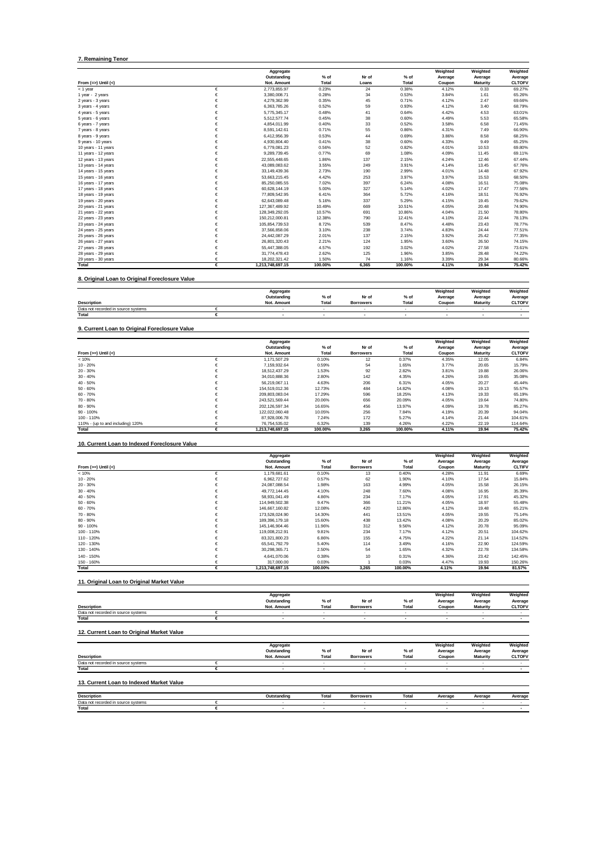#### **7. Remaining Tenor**

|                       |            | Aggregate        |         |       |         | Weighted | Weighted | Weighted      |
|-----------------------|------------|------------------|---------|-------|---------|----------|----------|---------------|
|                       |            | Outstanding      | $%$ of  | Nr of | $%$ of  | Average  | Average  | Average       |
| From $(=>)$ Until $($ |            | Not. Amount      | Total   | Loans | Total   | Coupon   | Maturity | <b>CLTOFV</b> |
| $<$ 1 year            | €          | 2.773.855.97     | 0.23%   | 24    | 0.38%   | 4.12%    | 0.33     | 69.27%        |
| 1 year - 2 years      | €          | 3.380.008.71     | 0.28%   | 34    | 0.53%   | 3.84%    | 1.61     | 65.26%        |
| 2 years - 3 years     | €          | 4,279,362.99     | 0.35%   | 45    | 0.71%   | 4.12%    | 2.47     | 69.66%        |
| 3 years - 4 years     | €          | 6,363,785.26     | 0.52%   | 59    | 0.93%   | 4.12%    | 3.40     | 68.79%        |
| 4 years - 5 years     | €          | 5,775,345.17     | 0.48%   | 41    | 0.64%   | 4.42%    | 4.53     | 63.01%        |
| 5 years - 6 years     | €          | 5.512.577.74     | 0.45%   | 38    | 0.60%   | 4.49%    | 5.53     | 65.58%        |
| 6 years - 7 years     | €          | 4.854.011.99     | 0.40%   | 33    | 0.52%   | 3.58%    | 6.58     | 71.45%        |
| 7 years - 8 years     | €          | 8.591.142.61     | 0.71%   | 55    | 0.86%   | 4.31%    | 7.49     | 66.90%        |
| 8 years - 9 years     | €          | 6.412.956.39     | 0.53%   | 44    | 0.69%   | 3.86%    | 8.58     | 68.25%        |
| 9 years - 10 years    | €          | 4,930,804.40     | 0.41%   | 38    | 0.60%   | 4.33%    | 9.49     | 65.25%        |
| 10 years - 11 years   | €          | 6,779,081.23     | 0.56%   | 52    | 0.82%   | 4.01%    | 10.53    | 69.80%        |
| 11 years - 12 years   | €          | 9.289.739.45     | 0.77%   | 69    | 1.08%   | 4.09%    | 11.45    | 69.11%        |
| 12 years - 13 years   | €          | 22.555.448.65    | 1.86%   | 137   | 2.15%   | 4.24%    | 12.46    | 67.44%        |
| 13 years - 14 years   | €          | 43,089,083.62    | 3.55%   | 249   | 3.91%   | 4.14%    | 13.45    | 67.76%        |
| 14 years - 15 years   | €          | 33.149.439.36    | 2.73%   | 190   | 2.99%   | 4.01%    | 14.48    | 67.92%        |
| 15 years - 16 years   | €          | 53.663.215.45    | 4.42%   | 253   | 3.97%   | 3.97%    | 15.53    | 68.50%        |
| 16 years - 17 years   | €          | 85,250,085.55    | 7.02%   | 397   | 6.24%   | 4.08%    | 16.51    | 75.08%        |
| 17 years - 18 years   | €          | 60.628.144.19    | 5.00%   | 327   | 5.14%   | 4.02%    | 17.47    | 77.56%        |
| 18 years - 19 years   | €          | 77,809,542.95    | 6.41%   | 364   | 5.72%   | 4.16%    | 18.51    | 76.92%        |
| 19 years - 20 years   | €          | 62,643,089.48    | 5.16%   | 337   | 5.29%   | 4.15%    | 19.45    | 79.62%        |
| 20 years - 21 years   | €          | 127.367.489.92   | 10.49%  | 669   | 10.51%  | 4.05%    | 20.48    | 74.90%        |
| 21 years - 22 years   | €          | 128,349,292.05   | 10.57%  | 691   | 10.86%  | 4.04%    | 21.50    | 78.80%        |
| 22 years - 23 years   | €          | 150.212.000.81   | 12.38%  | 790   | 12.41%  | 4.10%    | 22.44    | 78.13%        |
| 23 years - 24 years   | €          | 105,854,739.53   | 8.72%   | 539   | 8.47%   | 4.48%    | 23.43    | 78.77%        |
| 24 years - 25 years   | €          | 37.566.858.06    | 3.10%   | 238   | 3.74%   | 4.83%    | 24.44    | 77.51%        |
| 25 years - 26 years   | €          | 24.442.087.29    | 2.01%   | 137   | 2.15%   | 3.92%    | 25.42    | 77.35%        |
| 26 years - 27 years   | €          | 26,801,320.43    | 2.21%   | 124   | 1.95%   | 3.60%    | 26.50    | 74.15%        |
| 27 years - 28 years   | €          | 55,447,388.05    | 4.57%   | 192   | 3.02%   | 4.02%    | 27.58    | 73.61%        |
| 28 years - 29 years   | $\epsilon$ | 31,774,478.43    | 2.62%   | 125   | 1.96%   | 3.85%    | 28.48    | 74.22%        |
| 29 years - 30 years   | €          | 18.202.321.42    | 1.50%   | 74    | 1.16%   | 3.39%    | 29.34    | 80.66%        |
| Total                 | €          | 1,213,748,697.15 | 100.00% | 6.365 | 100.00% | 4.11%    | 19.94    | 75.42%        |

**8. Original Loan to Original Foreclosure Value**

|                                     | Aggregate   |                    |                  |        | Weighted | Weighted        | Weighted      |
|-------------------------------------|-------------|--------------------|------------------|--------|----------|-----------------|---------------|
|                                     | Outstanding | $^{\circ}$<br>% of | Nr of            | $%$ of | Average  | Average         | Average       |
| <b>Description</b>                  | Not. Amount | Total              | <b>Borrowers</b> | Total  | Coupon   | <b>Maturity</b> | <b>CLTOFV</b> |
| Data not recorded in source systems |             |                    |                  |        |          |                 |               |
| Total                               |             |                    |                  |        |          |                 |               |

**9. Current Loan to Original Foreclosure Value**

|                                   | Aggregate        |         |                  |         | Weighted | Weighted        | Weighted      |
|-----------------------------------|------------------|---------|------------------|---------|----------|-----------------|---------------|
|                                   | Outstanding      | % of    | Nr of            | $%$ of  | Average  | Average         | Average       |
| From $(>=)$ Until $(<)$           | Not. Amount      | Total   | <b>Borrowers</b> | Total   | Coupon   | <b>Maturity</b> | <b>CLTOFV</b> |
| < 10%                             | 1.171.507.29     | 0.10%   | 12               | 0.37%   | 4.35%    | 12.05           | 6.84%         |
| $10 - 20%$                        | 7.159.932.64     | 0.59%   | 54               | 1.65%   | 3.77%    | 20.65           | 15.79%        |
| $20 - 30%$                        | 18.512.437.29    | 1.53%   | 92               | 2.82%   | 3.81%    | 19.88           | 26.06%        |
| $30 - 40%$                        | 34.010.888.36    | 2.80%   | 142              | 4.35%   | 4.26%    | 19.65           | 35.08%        |
| $40 - 50%$                        | 56.219.067.11    | 4.63%   | 206              | 6.31%   | 4.05%    | 20.27           | 45.44%        |
| $50 - 60%$                        | 154.519.012.36   | 12.73%  | 484              | 14.82%  | 4.08%    | 19.13           | 55.57%        |
| $60 - 70%$                        | 209.803.083.04   | 17.29%  | 596              | 18.25%  | 4.13%    | 19.33           | 65.19%        |
| 70 - 80%                          | 243.521.569.44   | 20.06%  | 656              | 20.09%  | 4.05%    | 19.64           | 74.80%        |
| $80 - 90%$                        | 202.126.597.34   | 16.65%  | 456              | 13.97%  | 4.09%    | 19.78           | 85.27%        |
| $90 - 100%$                       | 122.022.060.48   | 10.05%  | 256              | 7.84%   | 4.19%    | 20.39           | 94.04%        |
| 100 - 110%                        | 87.928.006.78    | 7.24%   | 172              | 5.27%   | 4.14%    | 21.44           | 104.61%       |
| 110% - (up to and including) 120% | 76.754.535.02    | 6.32%   | 139              | 4.26%   | 4.22%    | 22.19           | 114.64%       |
| Total                             | 1.213.748.697.15 | 100.00% | 3.265            | 100.00% | 4.11%    | 19.94           | 75.42%        |

**10. Current Loan to Indexed Foreclosure Value**

|                         |   | Aggregate        |         |                  |         | Weighted | Weighted        | Weighted      |
|-------------------------|---|------------------|---------|------------------|---------|----------|-----------------|---------------|
|                         |   | Outstanding      | % of    | Nr of            | $%$ of  | Average  | Average         | Average       |
| From $(>=)$ Until $(<)$ |   | Not. Amount      | Total   | <b>Borrowers</b> | Total   | Coupon   | <b>Maturity</b> | <b>CLTIFV</b> |
| < 10%                   | € | 1,179,681.61     | 0.10%   | 13               | 0.40%   | 4.28%    | 11.91           | 6.69%         |
| $10 - 20%$              | € | 6.962.727.62     | 0.57%   | 62               | 1.90%   | 4.10%    | 17.54           | 15.84%        |
| $20 - 30%$              |   | 24.087.088.54    | 1.98%   | 163              | 4.99%   | 4.05%    | 15.58           | 26.15%        |
| $30 - 40%$              |   | 49,772,144.45    | 4.10%   | 248              | 7.60%   | 4.08%    | 16.95           | 35.39%        |
| $40 - 50%$              |   | 58.931.041.49    | 4.86%   | 234              | 7.17%   | 4.05%    | 17.91           | 45.32%        |
| $50 - 60%$              |   | 114.949.502.38   | 9.47%   | 366              | 11.21%  | 4.05%    | 18.97           | 55.48%        |
| $60 - 70%$              |   | 146.667.160.82   | 12.08%  | 420              | 12.86%  | 4.12%    | 19.48           | 65.21%        |
| 70 - 80%                | € | 173.528.024.90   | 14.30%  | 441              | 13.51%  | 4.05%    | 19.55           | 75.14%        |
| $80 - 90%$              | € | 189.396.179.18   | 15.60%  | 438              | 13.42%  | 4.08%    | 20.29           | 85.02%        |
| $90 - 100%$             |   | 145.146.904.46   | 11.96%  | 312              | 9.56%   | 4.12%    | 20.78           | 95.09%        |
| 100 - 110%              |   | 119.008.212.91   | 9.81%   | 234              | 7.17%   | 4.12%    | 20.51           | 104.62%       |
| 110 - 120%              | € | 83.321.800.23    | 6.86%   | 155              | 4.75%   | 4.22%    | 21.14           | 114.52%       |
| 120 - 130%              | € | 65.541.792.79    | 5.40%   | 114              | 3.49%   | 4.16%    | 22.90           | 124.59%       |
| 130 - 140%              | € | 30,298,365.71    | 2.50%   | 54               | 1.65%   | 4.32%    | 22.78           | 134.58%       |
| 140 - 150%              | € | 4.641.070.06     | 0.38%   | 10               | 0.31%   | 4.36%    | 23.42           | 142.45%       |
| 150 - 160%              |   | 317,000.00       | 0.03%   |                  | 0.03%   | 4.47%    | 19.93           | 150.26%       |
| Total                   | € | 1.213.748.697.15 | 100.00% | 3,265            | 100.00% | 4.11%    | 19.94           | 81.57%        |

**11. Original Loan to Original Market Value**

|                                           |   | Aggregate                |        |                          |                          | Weighted                 | Weighted        | Weighted      |
|-------------------------------------------|---|--------------------------|--------|--------------------------|--------------------------|--------------------------|-----------------|---------------|
|                                           |   | Outstanding              | $%$ of | Nr of                    | $%$ of                   | Average                  | Average         | Average       |
| Description                               |   | Not. Amount              | Total  | <b>Borrowers</b>         | Total                    | Coupon                   | <b>Maturity</b> | <b>CLTOFV</b> |
| Data not recorded in source systems       | € | $\sim$                   | ٠      | ٠                        | $\sim$                   | $\sim$                   | $\sim$          |               |
| Total                                     | € | $\overline{\phantom{a}}$ |        | $\overline{\phantom{a}}$ | $\overline{\phantom{a}}$ | $\overline{\phantom{a}}$ |                 |               |
| 12. Current Loan to Original Market Value |   |                          |        |                          |                          |                          |                 |               |
|                                           |   | Aggregate                |        |                          |                          | Weighted                 | Weighted        | Weighted      |
|                                           |   | Outstanding              | % of   | Nr of                    | $%$ of                   | Average                  | Average         | Average       |
| <b>Description</b>                        |   | Not. Amount              | Total  | <b>Borrowers</b>         | Total                    | Coupon                   | <b>Maturity</b> | <b>CLTOFV</b> |
| Data not recorded in source systems       | € | $\sim$                   | ٠      | ٠                        | $\sim$                   |                          | $\sim$          | $\sim$        |
| Total                                     | € |                          |        | $\overline{\phantom{a}}$ | $\overline{\phantom{a}}$ |                          |                 |               |
| 13. Current Loan to Indexed Market Value  |   |                          |        |                          |                          |                          |                 |               |
| <b>Description</b>                        |   | Outstanding              | Total  | <b>Borrowers</b>         | <b>Total</b>             | Average                  | Average         | Average       |

**Description Outstanding Total** Data not recorded in source systems € - - - - - - - **Total € - - - - - - -**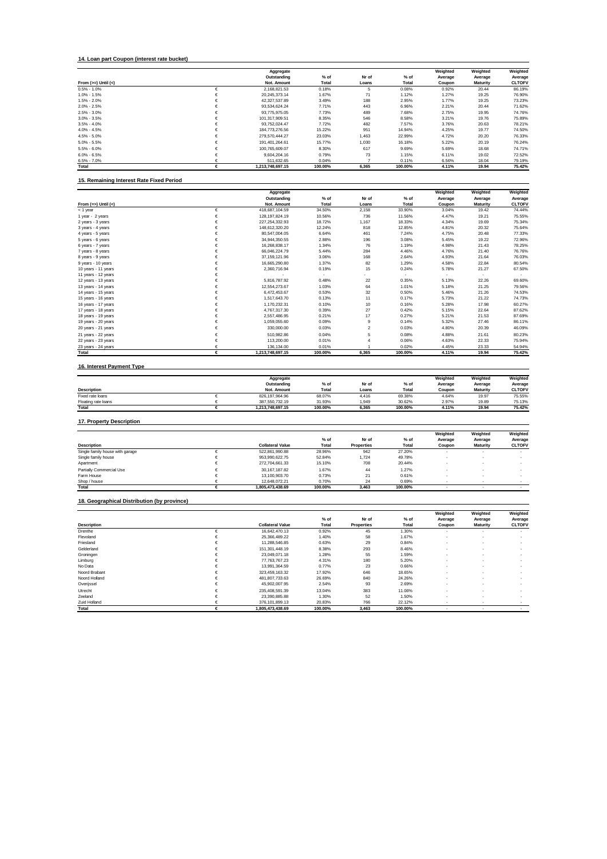#### **14. Loan part Coupon (interest rate bucket)**

|                         |   | Aggregate        |         |       |         | Weighted | Weighted        | Weighted      |
|-------------------------|---|------------------|---------|-------|---------|----------|-----------------|---------------|
|                         |   | Outstanding      | % of    | Nr of | $%$ of  | Average  | Average         | Average       |
| From $(>=)$ Until $(<)$ |   | Not. Amount      | Total   | Loans | Total   | Coupon   | <b>Maturity</b> | <b>CLTOFV</b> |
| $0.5\% - 1.0\%$         |   | 2.168.821.53     | 0.18%   | 5     | 0.08%   | 0.92%    | 20.44           | 86.19%        |
| $1.0\% - 1.5\%$         |   | 20.245.373.14    | 1.67%   | 71    | 1.12%   | 1.27%    | 19.25           | 76.90%        |
| $1.5\% - 2.0\%$         |   | 42.327.537.89    | 3.49%   | 188   | 2.95%   | 1.77%    | 19.25           | 73.23%        |
| $2.0\% - 2.5\%$         |   | 93.534.624.24    | 7.71%   | 443   | 6.96%   | 2.21%    | 20.44           | 71.62%        |
| $2.5\% - 3.0\%$         |   | 93.775.975.05    | 7.73%   | 489   | 7.68%   | 2.75%    | 19.95           | 74.76%        |
| $3.0\% - 3.5\%$         |   | 101.317.909.51   | 8.35%   | 546   | 8.58%   | 3.21%    | 19.76           | 75.89%        |
| $3.5\% - 4.0\%$         | € | 93.752.024.47    | 7.72%   | 482   | 7.57%   | 3.76%    | 20.63           | 78.21%        |
| $4.0\% - 4.5\%$         |   | 184.773.276.56   | 15.22%  | 951   | 14.94%  | 4.25%    | 19.77           | 74.50%        |
| $4.5\% - 5.0\%$         |   | 279.570.444.27   | 23.03%  | 1,463 | 22.99%  | 4.72%    | 20.20           | 76.33%        |
| $5.0\% - 5.5\%$         | € | 191.401.264.61   | 15.77%  | 1,030 | 16.18%  | 5.22%    | 20.19           | 76.24%        |
| $5.5\% - 6.0\%$         | € | 100.765.609.07   | 8.30%   | 617   | 9.69%   | 5.69%    | 18.68           | 74.71%        |
| $6.0\% - 6.5\%$         | € | 9.604.204.16     | 0.79%   | 73    | 1.15%   | 6.11%    | 19.02           | 72.52%        |
| $6.5\% - 7.0\%$         |   | 511.632.65       | 0.04%   |       | 0.11%   | 6.56%    | 18.04           | 79.19%        |
| Total                   |   | 1.213.748.697.15 | 100.00% | 6,365 | 100.00% | 4.11%    | 19.94           | 75.42%        |

## **15. Remaining Interest Rate Fixed Period**

|                       |   | Aggregate        |         |       |         | Weighted | Weighted        | Weighted      |
|-----------------------|---|------------------|---------|-------|---------|----------|-----------------|---------------|
|                       |   | Outstanding      | % of    | Nr of | $%$ of  | Average  | Average         | Average       |
| From $(=>)$ Until $($ |   | Not. Amount      | Total   | Loans | Total   | Coupon   | <b>Maturity</b> | <b>CLTOFV</b> |
| $<$ 1 year            | € | 418.687.104.59   | 34.50%  | 2.158 | 33.90%  | 3.04%    | 19.42           | 74.44%        |
| 1 year - 2 years      | € | 128.197.824.19   | 10.56%  | 736   | 11.56%  | 4.47%    | 19.21           | 75.55%        |
| 2 years - 3 years     | € | 227.254.332.93   | 18.72%  | 1,167 | 18.33%  | 4.34%    | 19.69           | 75.34%        |
| 3 years - 4 years     |   | 148.612.320.20   | 12.24%  | 818   | 12.85%  | 4.81%    | 20.32           | 75.64%        |
| 4 years - 5 years     |   | 80.547.004.05    | 6.64%   | 461   | 7.24%   | 4.75%    | 20.48           | 77.33%        |
| 5 years - 6 years     |   | 34,944,350.55    | 2.88%   | 196   | 3.08%   | 5.45%    | 19.22           | 72.96%        |
| 6 years - 7 years     | € | 16.268.838.17    | 1.34%   | 76    | 1.19%   | 4.98%    | 21.43           | 78.25%        |
| 7 years - 8 years     | € | 66.046.224.79    | 5.44%   | 284   | 4.46%   | 4.76%    | 21.40           | 76.76%        |
| 8 years - 9 years     |   | 37, 159, 121.96  | 3.06%   | 168   | 2.64%   | 4.93%    | 21.64           | 76.03%        |
| 9 years - 10 years    |   | 16.665.290.80    | 1.37%   | 82    | 1.29%   | 4.58%    | 22.84           | 80.54%        |
| 10 years - 11 years   |   | 2,360,716.94     | 0.19%   | 15    | 0.24%   | 5.78%    | 21.27           | 67.50%        |
| 11 years - 12 years   |   |                  |         |       |         |          | $\sim$          | ×.            |
| 12 years - 13 years   | € | 5,816,787.92     | 0.48%   | 22    | 0.35%   | 5.13%    | 22.26           | 69.60%        |
| 13 years - 14 years   |   | 12.554.273.67    | 1.03%   | 64    | 1.01%   | 5.18%    | 21.25           | 79.56%        |
| 14 years - 15 years   |   | 6.472.453.67     | 0.53%   | 32    | 0.50%   | 5.46%    | 21.26           | 74.53%        |
| 15 years - 16 years   |   | 1,517,643.70     | 0.13%   | 11    | 0.17%   | 5.73%    | 21.22           | 74.73%        |
| 16 years - 17 years   |   | 1,170,232.31     | 0.10%   | 10    | 0.16%   | 5.28%    | 17.98           | 60.27%        |
| 17 years - 18 years   | € | 4.767.317.30     | 0.39%   | 27    | 0.42%   | 5.15%    | 22.64           | 87.62%        |
| 18 years - 19 years   |   | 2.557.486.95     | 0.21%   | 17    | 0.27%   | 5.21%    | 21.53           | 87.69%        |
| 19 years - 20 years   | € | 1,059,055.60     | 0.09%   | 9     | 0.14%   | 5.32%    | 27.46           | 86.11%        |
| 20 years - 21 years   |   | 330,000.00       | 0.03%   | 2     | 0.03%   | 4.80%    | 20.39           | 46.09%        |
| 21 years - 22 years   |   | 510.982.86       | 0.04%   | 5     | 0.08%   | 4.88%    | 21.61           | 80.23%        |
| 22 years - 23 years   |   | 113,200.00       | 0.01%   | 4     | 0.06%   | 4.63%    | 22.33           | 75.94%        |
| 23 years - 24 years   |   | 136,134.00       | 0.01%   |       | 0.02%   | 4.45%    | 23.33           | 54.94%        |
| Total                 | € | 1,213,748,697.15 | 100.00% | 6.365 | 100.00% | 4.11%    | 19.94           | 75.42%        |

### **16. Interest Payment Type**

|                     | Aggregate        |         |       |         | Weighted | Weighted        | Weighted      |
|---------------------|------------------|---------|-------|---------|----------|-----------------|---------------|
|                     | Outstanding      | $%$ of  | Nr of | $%$ of  | Average  | Average         | Average       |
| <b>Description</b>  | Not. Amount      | Total   | Loans | Total   | Coupon   | <b>Maturity</b> | <b>CLTOFV</b> |
| Fixed rate loans    | 826.197.964.96   | 68.07%  | 4.416 | 69.38%  | 4.64%    | 19.97           | 75.55%        |
| Floating rate loans | 387.550.732.19   | 31.93%  | 1.949 | 30.62%  | 2.97%    | 19.89           | 75.13%        |
| Total               | 1.213.748.697.15 | 100.00% | 6.365 | 100.00% | 4.11%    | 19.94           | 75.42%        |

# **17. Property Description**

|                                 |                         |         |                   |         | Weighted | Weighted        | Weighted      |
|---------------------------------|-------------------------|---------|-------------------|---------|----------|-----------------|---------------|
|                                 |                         | % of    | Nr of             | $%$ of  | Average  | Average         | Average       |
| <b>Description</b>              | <b>Collateral Value</b> | Total   | <b>Properties</b> | Total   | Coupon   | <b>Maturity</b> | <b>CLTOFV</b> |
| Single family house with garage | 522.861.990.88          | 28.96%  | 942               | 27.20%  |          |                 |               |
| Single family house             | 953.990.622.75          | 52.84%  | 1.724             | 49.78%  |          |                 |               |
| Apartment                       | 272,704,661.33          | 15.10%  | 708               | 20.44%  |          |                 |               |
| Partially Commercial Use        | 30.167.187.82           | 1.67%   | 44                | 1.27%   |          |                 |               |
| Farm House                      | 13.100.903.70           | 0.73%   | 21                | 0.61%   |          |                 |               |
| Shop / house                    | 12.648.072.21           | 0.70%   | 24                | 0.69%   |          |                 |               |
| Total                           | 1.805.473.438.69        | 100.00% | 3.463             | 100.00% |          |                 |               |

#### **18. Geographical Distribution (by province)**

|                    |   | <b>Collateral Value</b> |                 | Nr of<br>Properties | $%$ of  | Weighted<br>Average | Weighted<br>Average | Weighted<br>Average<br><b>CLTOFV</b> |
|--------------------|---|-------------------------|-----------------|---------------------|---------|---------------------|---------------------|--------------------------------------|
|                    |   |                         | $%$ of<br>Total |                     |         |                     |                     |                                      |
| <b>Description</b> |   |                         |                 |                     | Total   | Coupon              | <b>Maturity</b>     |                                      |
| Drenthe            |   | 16.642.470.13           | 0.92%           | 45                  | 1.30%   |                     |                     |                                      |
| Flevoland          |   | 25.366.489.22           | 1.40%           | 58                  | 1.67%   |                     |                     |                                      |
| Friesland          |   | 11.288.546.85           | 0.63%           | 29                  | 0.84%   |                     |                     |                                      |
| Gelderland         |   | 151.301.448.19          | 8.38%           | 293                 | 8.46%   |                     |                     |                                      |
| Groningen          |   | 23.049.071.18           | 1.28%           | 55                  | 1.59%   |                     |                     |                                      |
| Limburg            |   | 77.763.767.23           | 4.31%           | 180                 | 5.20%   |                     |                     |                                      |
| No Data            |   | 13.991.364.59           | 0.77%           | 23                  | 0.66%   |                     |                     |                                      |
| Noord Brabant      |   | 323.459.163.32          | 17.92%          | 646                 | 18.65%  |                     |                     |                                      |
| Noord Holland      |   | 481.807.733.63          | 26.69%          | 840                 | 24.26%  |                     |                     |                                      |
| Overijssel         |   | 45.902.007.95           | 2.54%           | 93                  | 2.69%   |                     |                     |                                      |
| Utrecht            |   | 235.408.591.39          | 13.04%          | 383                 | 11.06%  |                     |                     |                                      |
| Zeeland            | c | 23.390.885.88           | 1.30%           | 52                  | 1.50%   |                     |                     |                                      |
| Zuid Holland       |   | 376.101.899.13          | 20.83%          | 766                 | 22.12%  |                     |                     |                                      |
| Total              | € | 1,805,473,438.69        | 100.00%         | 3,463               | 100.00% |                     |                     | $\sim$                               |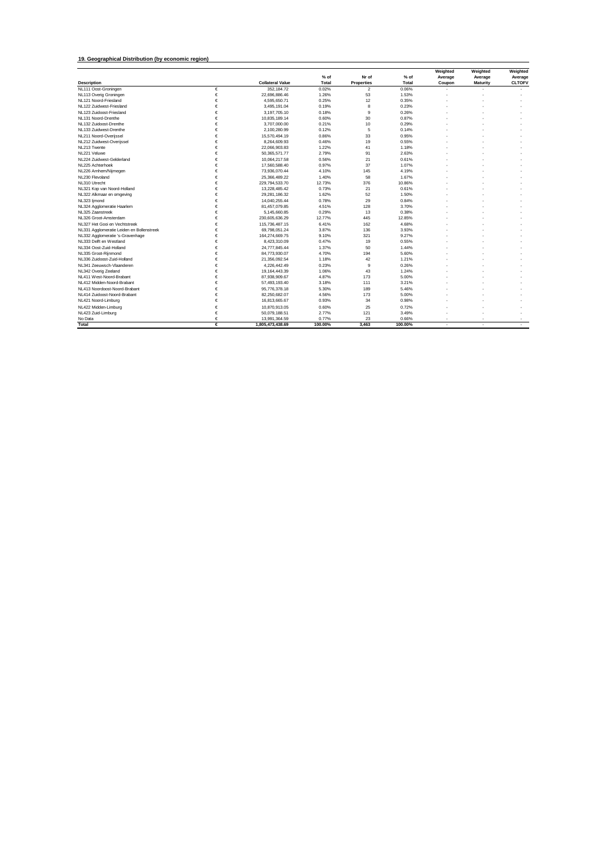#### **19. Geographical Distribution (by economic region)**

|                                           |   |                         |         |                   |              | Weighted | Weighted | Weighted      |
|-------------------------------------------|---|-------------------------|---------|-------------------|--------------|----------|----------|---------------|
|                                           |   |                         | % of    | Nr of             | $%$ of       | Average  | Average  | Average       |
| <b>Description</b>                        |   | <b>Collateral Value</b> | Total   | <b>Properties</b> | <b>Total</b> | Coupon   | Maturity | <b>CLTOFV</b> |
| NL111 Oost-Groningen                      | € | 352.184.72              | 0.02%   | $\overline{2}$    | 0.06%        |          |          |               |
| NL113 Overig Groningen                    | € | 22,696,886.46           | 1.26%   | 53                | 1.53%        |          |          |               |
| NL121 Noord-Friesland                     | € | 4.595.650.71            | 0.25%   | 12                | 0.35%        |          |          |               |
| NL122 Zuidwest-Friesland                  | € | 3.495.191.04            | 0.19%   | 8                 | 0.23%        |          |          |               |
| NL123 Zuidoost-Friesland                  | € | 3.197.705.10            | 0.18%   | 9                 | 0.26%        |          |          |               |
| NL131 Noord-Drenthe                       | € | 10,835,189.14           | 0.60%   | 30                | 0.87%        |          |          |               |
| NL132 Zuidoost-Drenthe                    | € | 3.707.000.00            | 0.21%   | 10                | 0.29%        |          |          |               |
| NL133 Zuidwest-Drenthe                    | € | 2.100.280.99            | 0.12%   | 5                 | 0.14%        |          |          |               |
| NL211 Noord-Overijssel                    | € | 15,570,494.19           | 0.86%   | 33                | 0.95%        |          |          |               |
| NL212 Zuidwest-Overijssel                 | € | 8,264,609.93            | 0.46%   | 19                | 0.55%        |          |          |               |
| NL213 Twente                              | € | 22.066.903.83           | 1.22%   | 41                | 1.18%        |          |          |               |
| NL221 Veluwe                              | € | 50,365,571.77           | 2.79%   | 91                | 2.63%        |          |          |               |
| NI 224 Zuidwest-Gelderland                | € | 10,064,217.58           | 0.56%   | 21                | 0.61%        |          |          |               |
| NL225 Achterhoek                          | € | 17,560,588.40           | 0.97%   | 37                | 1.07%        |          |          |               |
| NL226 Arnhem/Nijmegen                     | € | 73,936,070.44           | 4.10%   | 145               | 4.19%        |          |          |               |
| NL230 Flevoland                           | € | 25,366,489.22           | 1.40%   | 58                | 1.67%        |          |          |               |
| NL310 Utrecht                             | € | 229,794,533.70          | 12.73%  | 376               | 10.86%       |          |          |               |
| NL321 Kop van Noord-Holland               | € | 13,228,485.42           | 0.73%   | 21                | 0.61%        |          |          |               |
| NL322 Alkmaar en omgeving                 | € | 29,281,186.32           | 1.62%   | 52                | 1.50%        |          |          |               |
| NL323 ljmond                              | € | 14.040.255.44           | 0.78%   | 29                | 0.84%        |          |          |               |
| NL324 Agglomeratie Haarlem                | € | 81.457.079.85           | 4.51%   | 128               | 3.70%        |          |          |               |
| NL325 Zaanstreek                          | € | 5,145,660.85            | 0.29%   | 13                | 0.38%        |          |          |               |
| NL326 Groot-Amsterdam                     | € | 230.605.636.29          | 12.77%  | 445               | 12.85%       |          |          |               |
| NL327 Het Gooi en Vechtstreek             | € | 115,736,487.15          | 6.41%   | 162               | 4.68%        |          |          |               |
| NL331 Agglomeratie Leiden en Bollenstreek | € | 69,798,051.24           | 3.87%   | 136               | 3.93%        |          |          |               |
| NL332 Agglomeratie 's-Gravenhage          | € | 164,274,669.75          | 9.10%   | 321               | 9.27%        |          |          |               |
| NL333 Delft en Westland                   | € | 8,423,310.09            | 0.47%   | 19                | 0.55%        |          |          |               |
| NL334 Oost-Zuid-Holland                   | € | 24,777,845.44           | 1.37%   | 50                | 1.44%        |          |          |               |
| NL335 Groot-Rijnmond                      | € | 84,773,930.07           | 4.70%   | 194               | 5.60%        |          |          |               |
| NL336 Zuidoost-Zuid-Holland               | € | 21.356.092.54           | 1.18%   | 42                | 1.21%        |          |          |               |
| NL341 Zeeuwsch-Vlaanderen                 | € | 4.226.442.49            | 0.23%   | 9                 | 0.26%        |          |          |               |
| NL342 Overig Zeeland                      | € | 19.164.443.39           | 1.06%   | 43                | 1.24%        |          |          |               |
| NL411 West-Noord-Brabant                  | € | 87,938,909.67           | 4.87%   | 173               | 5.00%        |          |          |               |
| NL412 Midden-Noord-Brabant                | € | 57,493,193.40           | 3.18%   | 111               | 3.21%        |          |          |               |
| NL413 Noordoost-Noord-Brabant             | € | 95,776,378.18           | 5.30%   | 189               | 5.46%        |          |          |               |
| NI 414 Zuidoost-Noord-Brabant             | € | 82,250,682.07           | 4.56%   | 173               | 5.00%        |          |          |               |
| NL421 Noord-Limburg                       | € | 16,813,665.67           | 0.93%   | 34                | 0.98%        |          |          |               |
| NL422 Midden-Limburg                      | € | 10,870,913.05           | 0.60%   | 25                | 0.72%        |          |          |               |
| NL423 Zuid-Limburg                        | € | 50.079.188.51           | 2.77%   | 121               | 3.49%        |          |          |               |
| No Data                                   | € | 13,991,364.59           | 0.77%   | 23                | 0.66%        |          |          | $\sim$        |
| Total                                     | € | 1,805,473,438.69        | 100.00% | 3.463             | 100.00%      | $\sim$   | $\sim$   | $\sim$        |